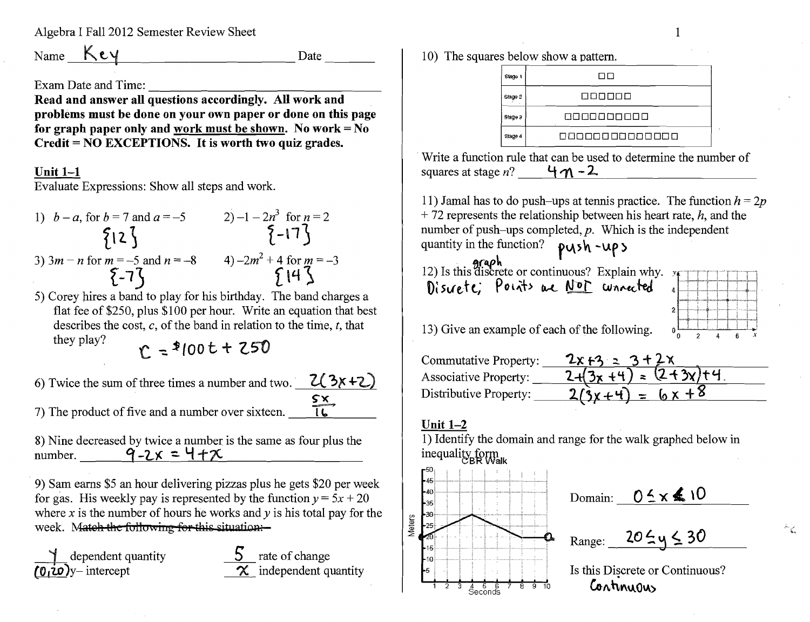Algebra I Fall 2012 Semester Review Sheet

Name  $Key$ 

**Date** 

Exam Date and Time:

Read and answer all questions accordingly. All work and problems must be done on your own paper or done on this page for graph paper only and work must be shown. No work =  $No$ Credit = NO EXCEPTIONS. It is worth two quiz grades.

#### Unit  $1-1$

Evaluate Expressions: Show all steps and work.

1) 
$$
b-a
$$
, for  $b = 7$  and  $a = -5$   
\n2)  $-1 - 2n^3$  for  $n = 2$   
\n3)  $3m - n$  for  $m = -5$  and  $n = -8$   
\n4)  $-2m^2 + 4$  for  $m = -3$   
\n $\{-17\}$   
\n4)  $\{-17\}$ 

5) Corey hires a band to play for his birthday. The band charges a flat fee of \$250, plus \$100 per hour. Write an equation that best describes the cost, c, of the band in relation to the time, t, that they play?  $r = 2100t + 250$ 

6) Twice the sum of three times a number and two.  $Z(3x+2)$  $rac{\mathsf{S} \mathsf{x}}{|\mathsf{L}|}$ 7) The product of five and a number over sixteen.

8) Nine decreased by twice a number is the same as four plus the number.  $\vec{q}$ -2x = 4+x

9) Sam earns \$5 an hour delivering pizzas plus he gets \$20 per week for gas. His weekly pay is represented by the function  $y = 5x + 20$ where x is the number of hours he works and  $\nu$  is his total pay for the week. Match the following for this situation:-



10) The squares below show a pattern.

| Stage   | ПП            |
|---------|---------------|
| Stage 2 | 800000        |
| Stage 3 | 0000000000    |
| Staga 4 | 8888888888888 |

Write a function rule that can be used to determine the number of squares at stage  $n$ ?  $4n-2$ 

11) Jamal has to do push-ups at tennis practice. The function  $h = 2p$  $+72$  represents the relationship between his heart rate, h, and the number of push-ups completed,  $p$ . Which is the independent quantity in the function? push -ups

**graph I**<br>12) Is this discrete or continuous? Explain why. Discrete; Points are <u>Not</u> wonnected

| $0\frac{L}{0}$ |  | $\mathbf{2}$ | 4 | 6 | X |
|----------------|--|--------------|---|---|---|
|                |  |              |   |   |   |
|                |  |              |   |   |   |
| 2              |  |              |   |   |   |
|                |  |              |   |   |   |
| 4              |  |              |   |   |   |
| 74             |  |              |   |   |   |
|                |  |              |   |   |   |

 $\mathcal{S}_{\mathcal{C}}$ 

13) Give an example of each of the following.

| Commutative Property:        | $2x + 3 = 3 + 2x$       |
|------------------------------|-------------------------|
| <b>Associative Property:</b> | $2+(3x+4) = (2+3x) + 4$ |
| Distributive Property:       | $2(3x+4) = 6x + 8$      |

### Unit  $1-2$

1) Identify the domain and range for the walk graphed below in inequality form



Domain:  $0.5 \times 10$ 

Range:  $20 \le y \le 30$ 

Is this Discrete or Continuous? Continuous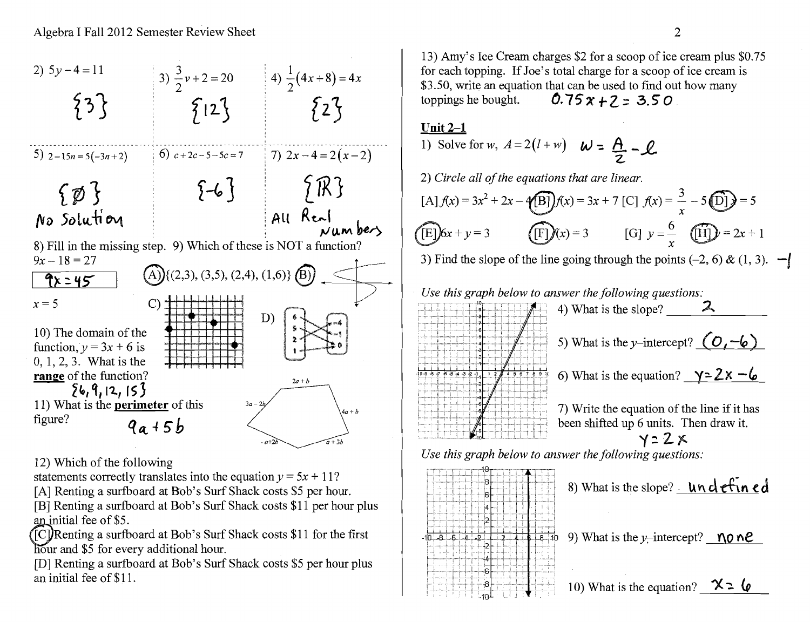

12) Which of the following

statements correctly translates into the equation  $y = 5x + 11$ ?

[A] Renting a surfboard at Bob's Surf Shack costs \$5 per hour.

[B] Renting a surfboard at Bob's Surf Shack costs \$11 per hour plus an initial fee of \$5.

 $[{\rm [C]}$ Renting a surfboard at Bob's Surf Shack costs \$11 for the first hour and \$5 for every additional hour.

[D] Renting a surfboard at Bob's Surf Shack costs \$5 per hour plus an initial fee of \$11.

13) Amy's Ice Cream charges \$2 for a scoop of ice cream plus \$0.75 for each topping. If Joe's total charge for a scoop of ice cream is \$3.50, write an equation that can be used to find out how many<br>toppings he bought.  $0.75x + 7 = 350$ toppings he bought.  $0.75 x + 2 = 3.50$ 

## Unit  $2-1$

1) Solve for w,  $A = 2(l+w)$   $W = \underline{A} - \underline{C}$ 

z. 2) Circle all of the equations that are linear.

$$
[A]f(x) = 3x^2 + 2x - 4[B] $f(x) = 3x + 7$  [C]  $f(x) = \frac{3}{x} - 5[D] $f(x) = 5$   
\n
$$
[E]6x + y = 3
$$
 [F]  $f(x) = 3$  [G]  $y = \frac{6}{x}$  [H]  $y = 2x + 1$$
$$

 $\begin{array}{c}\n\mathbf{C} \\
3 \\
\mathbf{C}\n\end{array}$ 3) Find the slope of the line going through the points  $(-2, 6)$  &  $(1, 3)$ .  $-$ 





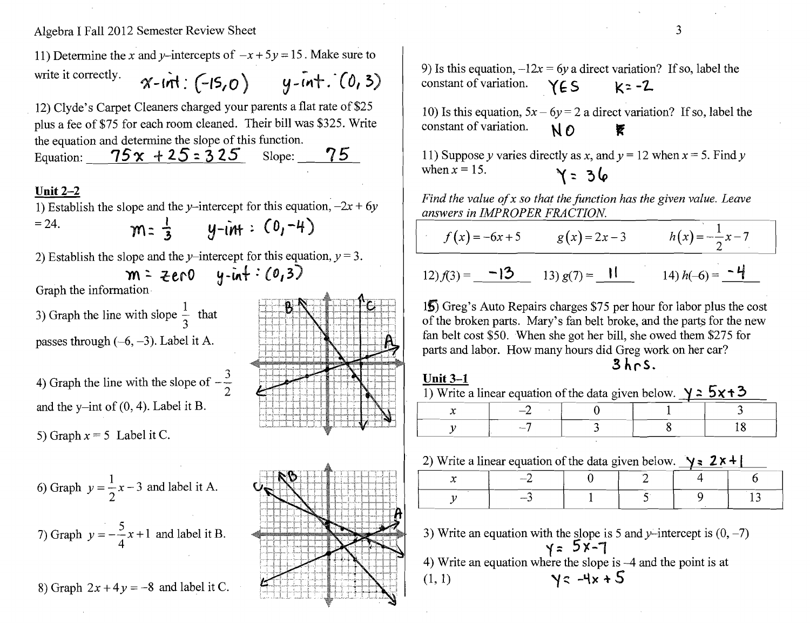Algebra I Fall 2012 Semester Review Sheet

11) Determine the *x* and *y*-intercepts of  $-x+5y=15$ . Make sure to write it correctly.  $\gamma$ - $int$ :  $(-15, 0)$   $y$ - $int$ .  $(0, 3)$ 

12) Clyde's Carpet Cleaners charged your parents a flat rate of \$25 plus a fee of \$75 for each room cleaned. Their bill was \$325. Write the equation and determine the slope of this function.

Equation:  $\frac{75x + 25 = 325}{15}$  Slope: 75

### Unit 2-2

1) Establish the slope and the y-intercept for this equation, 
$$
-2x + 6y = 24
$$
.  
\n $\mathbf{m} = \frac{1}{3}$   $\mathbf{y} - i\mathbf{m} + \mathbf{1} \quad \mathbf{0}_1 - 4$ 

2) Establish the slope and the *y*-intercept for this equation,  $y = 3$ .<br>  $m = 2e \cdot 0$   $y \cdot in + : (0,3)$ 

Graph the information

3) Graph the line with slope  $\frac{1}{2}$  that 3 passes through  $(-6, -3)$ . Label it A.

4) Graph the line with the slope of  $-\frac{3}{2}$ . and the y-int of  $(0, 4)$ . Label it B.

5) Graph  $x = 5$  Label it C.

6) Graph 
$$
y = \frac{1}{2}x - 3
$$
 and label it A.  
7) Graph  $y = -\frac{5}{4}x + 1$  and label it B.

8) Graph  $2x + 4y = -8$  and label it C.





9) Is this equation,  $-12x = 6y$  a direct variation? If so, label the constant of variation.  $Y \in S$   $k = -2$ 

10) Is this equation,  $5x - 6y = 2$  a direct variation? If so, label the constant of variation.  $N_0$ 

11) Suppose y varies directly as *x*, and  $y = 12$  when  $x = 5$ . Find y when  $x = 15$ . when *x* = 15. ~::

*Find the value ofx so that the function has the given value. Leave answers in IMPROPER FRACTION* 

 $f(x) = -6x+5$  g(x)=2x-3 *h*(x)= $-\frac{1}{2}x-7$ 

$$
12) f(3) = \underline{\hspace{1cm} -13 \hspace{0.02cm} 13 \hspace{0.02cm} g(7)} = \underline{\hspace{1cm} 11 \hspace{0.02cm} 14 \hspace{0.02cm} h(-6)} = \underline{\hspace{1cm} -4 \hspace{0.02cm} 14}
$$

15 Greg's Auto Repairs charges \$75 per hour for labor plus the cost of the broken parts. Mary's fan belt broke, and the parts for the new fan belt cost \$50. When she got her bill, she owed them \$275 for parts and labor. How many hours did Greg work on her car? .3 hr-s.

# Unit 3-1

2) Write a linear equation of the data given below.  $\forall s$  **2x+1** 

|  | $-$    |  |  |  |  |
|--|--------|--|--|--|--|
|  | $\sim$ |  |  |  |  |

3) Write an equation with the slope is 5 and y-intercept is  $(0, -7)$  $y = 5x - 1$ 4) Write an equation where the slope is  $-4$  and the point is at  $(1, 1)$   $\forall z$   $-4x + 5$ 

3